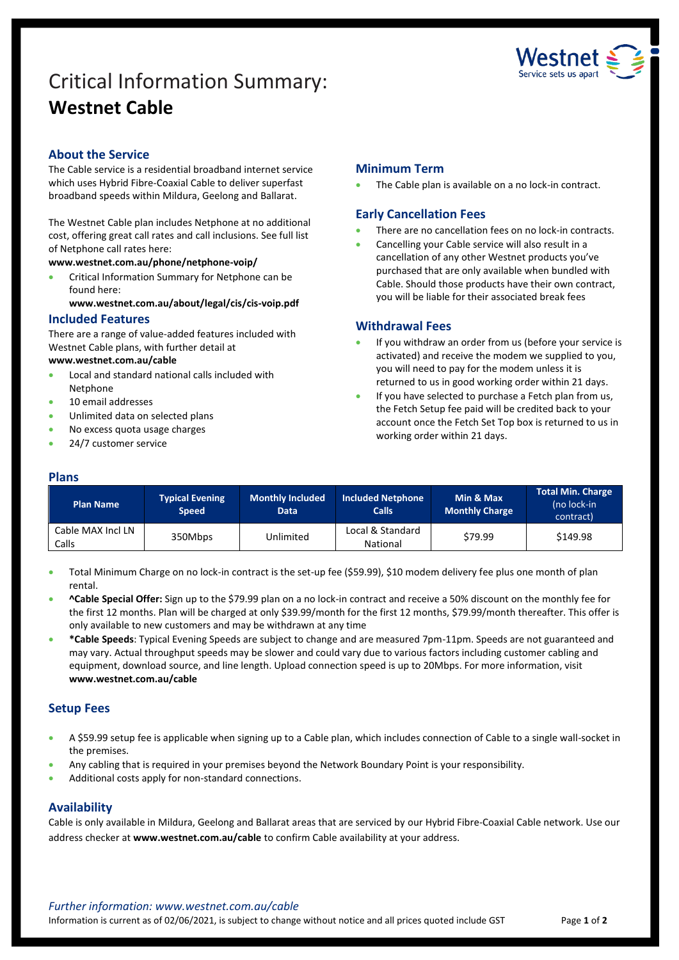# Critical Information Summary: **Westnet Cable**



## **About the Service**

The Cable service is a residential broadband internet service which uses Hybrid Fibre-Coaxial Cable to deliver superfast broadband speeds within Mildura, Geelong and Ballarat.

The Westnet Cable plan includes Netphone at no additional cost, offering great call rates and call inclusions. See full list of Netphone call rates here:

**[www.westnet.com.au/phone/netphone-voip/](https://www.westnet.com.au/phone/netphone-voip/)**

• Critical Information Summary for Netphone can be found here:

**[www.westnet.com.au/about/legal/cis/cis-voip.pdf](http://www.westnet.com.au/about/legal/cis/cis-voip.pdf)**

#### **Included Features**

There are a range of value-added features included with Westnet Cable plans, with further detail at

#### **[www.westnet.com.au/cable](http://www.westnet.com.au/cable)**

- Local and standard national calls included with Netphone
- 10 email addresses
- Unlimited data on selected plans
- No excess quota usage charges
- 24/7 customer service

### **Minimum Term**

The Cable plan is available on a no lock-in contract.

### **Early Cancellation Fees**

- There are no cancellation fees on no lock-in contracts.
- Cancelling your Cable service will also result in a cancellation of any other Westnet products you've purchased that are only available when bundled with Cable. Should those products have their own contract, you will be liable for their associated break fees

#### **Withdrawal Fees**

- If you withdraw an order from us (before your service is activated) and receive the modem we supplied to you, you will need to pay for the modem unless it is returned to us in good working order within 21 days.
- If you have selected to purchase a Fetch plan from us, the Fetch Setup fee paid will be credited back to your account once the Fetch Set Top box is returned to us in working order within 21 days.

#### **Plans**

| <b>Plan Name</b>           | <b>Typical Evening</b><br><b>Speed</b> | <b>Monthly Included</b><br><b>Data</b> | <b>Included Netphone</b><br><b>Calls</b> | Min & Max<br><b>Monthly Charge</b> | <b>Total Min. Charge</b><br>(no lock-in<br>contract) |
|----------------------------|----------------------------------------|----------------------------------------|------------------------------------------|------------------------------------|------------------------------------------------------|
| Cable MAX Incl LN<br>Calls | 350Mbps                                | Unlimited                              | Local & Standard<br>National             | \$79.99                            | \$149.98                                             |

• Total Minimum Charge on no lock-in contract is the set-up fee (\$59.99), \$10 modem delivery fee plus one month of plan rental.

- **^Cable Special Offer:** Sign up to the \$79.99 plan on a no lock-in contract and receive a 50% discount on the monthly fee for the first 12 months. Plan will be charged at only \$39.99/month for the first 12 months, \$79.99/month thereafter. This offer is only available to new customers and may be withdrawn at any time
- **\*Cable Speeds**: Typical Evening Speeds are subject to change and are measured 7pm-11pm. Speeds are not guaranteed and may vary. Actual throughput speeds may be slower and could vary due to various factors including customer cabling and equipment, download source, and line length. Upload connection speed is up to 20Mbps. For more information, visit **www.westnet.com.au/cable**

### **Setup Fees**

- A \$59.99 setup fee is applicable when signing up to a Cable plan, which includes connection of Cable to a single wall-socket in the premises.
- Any cabling that is required in your premises beyond the Network Boundary Point is your responsibility.
- Additional costs apply for non-standard connections.

### **Availability**

Cable is only available in Mildura, Geelong and Ballarat areas that are serviced by our Hybrid Fibre-Coaxial Cable network. Use our address checker at **www.westnet.com.au/cable** to confirm Cable availability at your address.